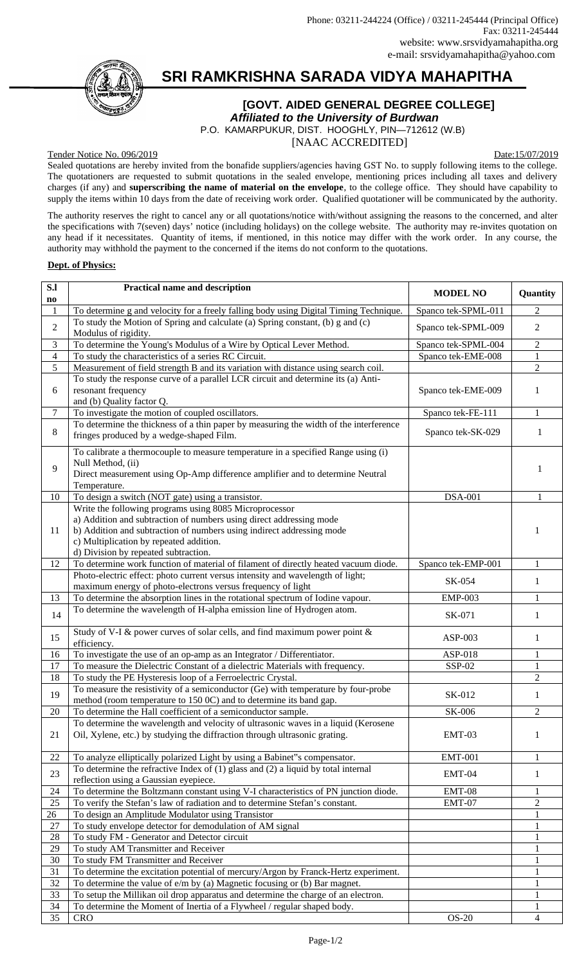# **SRI RAMKRISHNA SARADA VIDYA MAHAPITHA**

### **[GOVT. AIDED GENERAL DEGREE COLLEGE]**

*Affiliated to the University of Burdwan*

 P.O. KAMARPUKUR, DIST. HOOGHLY, PIN—712612 (W.B) [NAAC ACCREDITED]

Tender Notice No. 096/2019 Date:15/07/2019

Sealed quotations are hereby invited from the bonafide suppliers/agencies having GST No. to supply following items to the college. The quotationers are requested to submit quotations in the sealed envelope, mentioning prices including all taxes and delivery charges (if any) and **superscribing the name of material on the envelope**, to the college office. They should have capability to supply the items within 10 days from the date of receiving work order. Qualified quotationer will be communicated by the authority.

The authority reserves the right to cancel any or all quotations/notice with/without assigning the reasons to the concerned, and alter the specifications with 7(seven) days' notice (including holidays) on the college website. The authority may re-invites quotation on any head if it necessitates. Quantity of items, if mentioned, in this notice may differ with the work order. In any course, the authority may withhold the payment to the concerned if the items do not conform to the quotations.

### **Dept. of Physics:**

| S.I                    | <b>Practical name and description</b>                                                                                             | <b>MODEL NO</b>     | Quantity       |
|------------------------|-----------------------------------------------------------------------------------------------------------------------------------|---------------------|----------------|
| $\mathbf{n}\mathbf{o}$ |                                                                                                                                   |                     |                |
| $1\,$                  | To determine g and velocity for a freely falling body using Digital Timing Technique.                                             | Spanco tek-SPML-011 | 2              |
| $\overline{2}$         | To study the Motion of Spring and calculate (a) Spring constant, (b) g and (c)<br>Modulus of rigidity.                            | Spanco tek-SPML-009 | 2              |
| 3                      | To determine the Young's Modulus of a Wire by Optical Lever Method.                                                               | Spanco tek-SPML-004 | 2              |
| $\overline{4}$         | To study the characteristics of a series RC Circuit.                                                                              | Spanco tek-EME-008  | $\mathbf{1}$   |
| 5                      | Measurement of field strength B and its variation with distance using search coil.                                                |                     | $\overline{2}$ |
|                        | To study the response curve of a parallel LCR circuit and determine its (a) Anti-                                                 |                     |                |
| 6                      | resonant frequency                                                                                                                | Spanco tek-EME-009  | 1              |
|                        | and (b) Quality factor Q.                                                                                                         |                     |                |
| 7                      | To investigate the motion of coupled oscillators.                                                                                 | Spanco tek-FE-111   | $\mathbf{1}$   |
| 8                      | To determine the thickness of a thin paper by measuring the width of the interference<br>fringes produced by a wedge-shaped Film. | Spanco tek-SK-029   | $\mathbf{1}$   |
|                        | To calibrate a thermocouple to measure temperature in a specified Range using (i)                                                 |                     |                |
| 9                      | Null Method, (ii)                                                                                                                 |                     | $\mathbf{1}$   |
|                        | Direct measurement using Op-Amp difference amplifier and to determine Neutral                                                     |                     |                |
| 10                     | Temperature.<br>To design a switch (NOT gate) using a transistor.                                                                 | <b>DSA-001</b>      | $\mathbf{1}$   |
|                        | Write the following programs using 8085 Microprocessor                                                                            |                     |                |
|                        | a) Addition and subtraction of numbers using direct addressing mode                                                               |                     |                |
| 11                     | b) Addition and subtraction of numbers using indirect addressing mode                                                             |                     | 1              |
|                        | c) Multiplication by repeated addition.                                                                                           |                     |                |
|                        | d) Division by repeated subtraction.                                                                                              |                     |                |
| 12                     | To determine work function of material of filament of directly heated vacuum diode.                                               | Spanco tek-EMP-001  | 1              |
|                        | Photo-electric effect: photo current versus intensity and wavelength of light;                                                    | SK-054              | 1              |
|                        | maximum energy of photo-electrons versus frequency of light                                                                       |                     |                |
| 13                     | To determine the absorption lines in the rotational spectrum of Iodine vapour.                                                    | <b>EMP-003</b>      | $\mathbf 1$    |
| 14                     | To determine the wavelength of H-alpha emission line of Hydrogen atom.                                                            | SK-071              | $\mathbf{1}$   |
| 15                     | Study of V-I & power curves of solar cells, and find maximum power point &<br>efficiency.                                         | ASP-003             | 1              |
| 16                     | To investigate the use of an op-amp as an Integrator / Differentiator.                                                            | ASP-018             | 1              |
| 17                     | To measure the Dielectric Constant of a dielectric Materials with frequency.                                                      | SSP-02              | $\mathbf 1$    |
| 18                     | To study the PE Hysteresis loop of a Ferroelectric Crystal.                                                                       |                     | 2              |
|                        | To measure the resistivity of a semiconductor (Ge) with temperature by four-probe                                                 |                     |                |
| 19                     | method (room temperature to 150 0C) and to determine its band gap.                                                                | SK-012              | 1              |
| $20\,$                 | To determine the Hall coefficient of a semiconductor sample.                                                                      | <b>SK-006</b>       | 2              |
|                        | To determine the wavelength and velocity of ultrasonic waves in a liquid (Kerosene                                                |                     |                |
| 21                     | Oil, Xylene, etc.) by studying the diffraction through ultrasonic grating.                                                        | EMT-03              | 1              |
| 22                     | To analyze elliptically polarized Light by using a Babinet"s compensator.                                                         | <b>EMT-001</b>      | $\mathbf 1$    |
|                        | To determine the refractive Index of (1) glass and (2) a liquid by total internal                                                 |                     |                |
| 23                     | reflection using a Gaussian eyepiece.                                                                                             | EMT-04              | $\mathbf{1}$   |
| 24                     | To determine the Boltzmann constant using V-I characteristics of PN junction diode.                                               | $EMT-08$            | 1              |
| 25                     | To verify the Stefan's law of radiation and to determine Stefan's constant.                                                       | EMT-07              | $\overline{2}$ |
| 26                     | To design an Amplitude Modulator using Transistor                                                                                 |                     | $\mathbf 1$    |
| 27                     | To study envelope detector for demodulation of AM signal                                                                          |                     | 1              |
| 28                     | To study FM - Generator and Detector circuit                                                                                      |                     | 1              |
| 29                     | To study AM Transmitter and Receiver                                                                                              |                     | 1              |
| 30                     | To study FM Transmitter and Receiver                                                                                              |                     | 1              |
| 31                     | To determine the excitation potential of mercury/Argon by Franck-Hertz experiment.                                                |                     | 1              |
| 32                     | To determine the value of e/m by (a) Magnetic focusing or (b) Bar magnet.                                                         |                     | $\mathbf{1}$   |
| 33<br>34               | To setup the Millikan oil drop apparatus and determine the charge of an electron.                                                 |                     | 1              |
| 35                     | To determine the Moment of Inertia of a Flywheel / regular shaped body.<br><b>CRO</b>                                             | $OS-20$             | 1<br>4         |
|                        |                                                                                                                                   |                     |                |